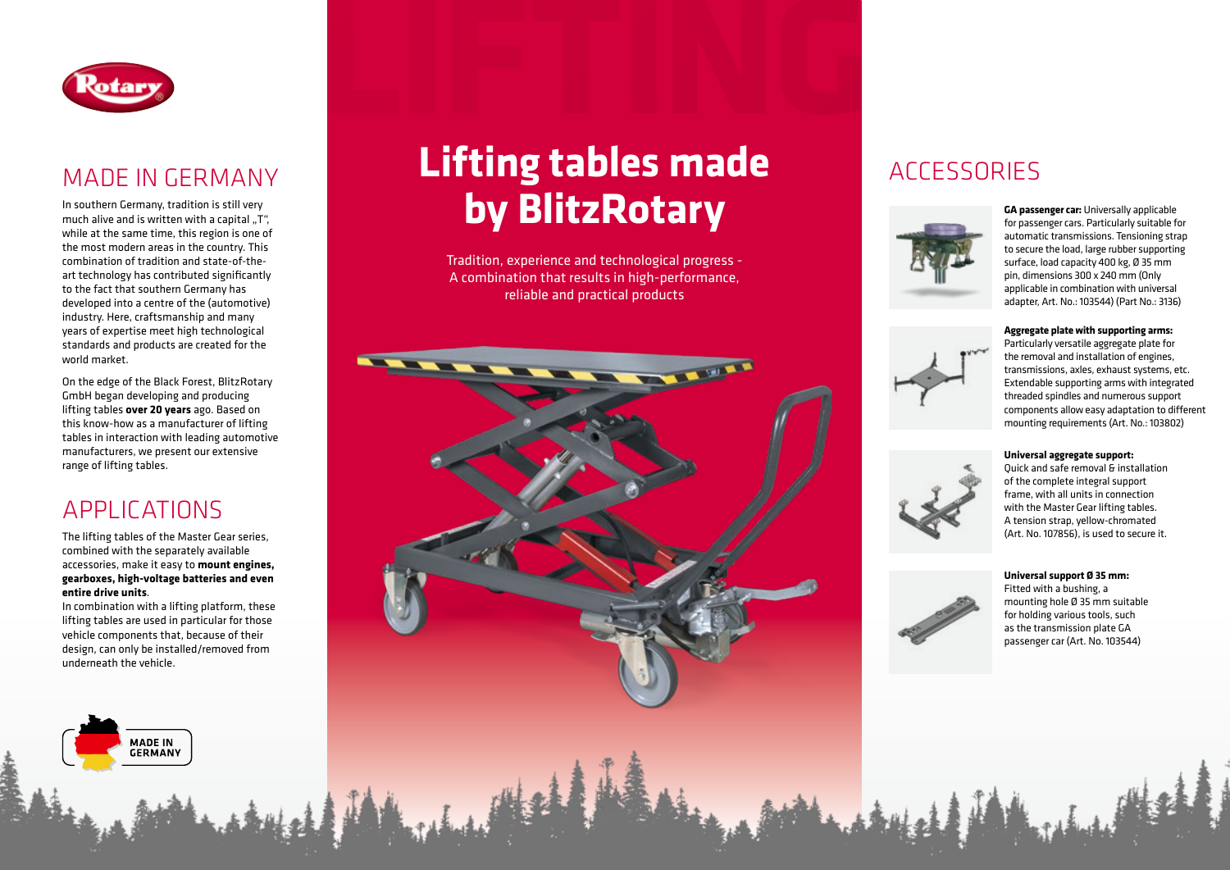

## MADE IN GERMANY

In southern Germany, tradition is still very much alive and is written with a capital " $T''$ , while at the same time, this region is one of the most modern areas in the country. This combination of tradition and state-of-theart technology has contributed significantly to the fact that southern Germany has developed into a centre of the (automotive) industry. Here, craftsmanship and many years of expertise meet high technological standards and products are created for the world market.

On the edge of the Black Forest, BlitzRotary GmbH began developing and producing lifting tables **over 20 years** ago. Based on this know-how as a manufacturer of lifting tables in interaction with leading automotive manufacturers, we present our extensive range of lifting tables.

## APPLICATIONS

The lifting tables of the Master Gear series, combined with the separately available accessories, make it easy to **mount engines, gearboxes, high-voltage batteries and even entire drive units** .

In combination with a lifting platform, these lifting tables are used in particular for those vehicle components that, because of their design, can only be installed/removed from underneath the vehicle.

> **MADE IN GERMANY**

# **LIFTING Lifting tables made by BlitzRotary**

Tradition, experience and technological progress - A combination that results in high-performance, reliable and practical products



### **ACCESSORIES**



**GA passenger car:** Universally applicable for passenger cars. Particularly suitable for automatic transmissions. Tensioning strap to secure the load, large rubber supporting surface, load capacity 400 kg, Ø 35 mm pin, dimensions 300 x 240 mm (Only applicable in combination with universal adapter, Art. No.: 103544) (Part No.: 3136)

#### **Aggregate plate with supporting arms:**



Particularly versatile aggregate plate for the removal and installation of engines, transmissions, axles, exhaust systems, etc. Extendable supporting arms with integrated threaded spindles and numerous support components allow easy adaptation to different mounting requirements (Art. No.: 103802)

#### **Universal aggregate support:**





**Universal support Ø 35 mm:** Fitted with a bushing, a mounting hole Ø 35 mm suitable for holding various tools, such as the transmission plate GA passenger car (Art. No. 103544)